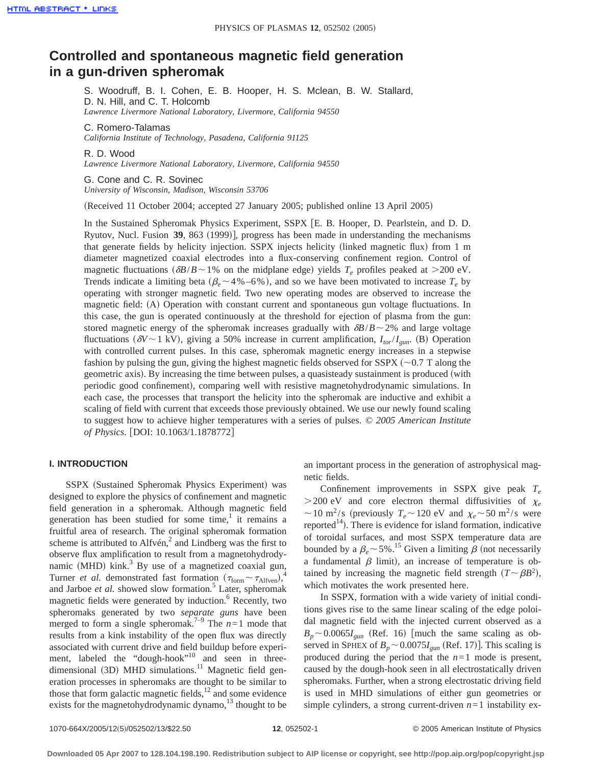# **Controlled and spontaneous magnetic field generation in a gun-driven spheromak**

S. Woodruff, B. I. Cohen, E. B. Hooper, H. S. Mclean, B. W. Stallard, D. N. Hill, and C. T. Holcomb *Lawrence Livermore National Laboratory, Livermore, California 94550*

C. Romero-Talamas *California Institute of Technology, Pasadena, California 91125*

R. D. Wood *Lawrence Livermore National Laboratory, Livermore, California 94550*

G. Cone and C. R. Sovinec *University of Wisconsin, Madison, Wisconsin 53706*

(Received 11 October 2004; accepted 27 January 2005; published online 13 April 2005)

In the Sustained Spheromak Physics Experiment, SSPX fE. B. Hooper, D. Pearlstein, and D. D. Ryutov, Nucl. Fusion 39, 863 (1999)], progress has been made in understanding the mechanisms that generate fields by helicity injection. SSPX injects helicity (linked magnetic flux) from 1 m diameter magnetized coaxial electrodes into a flux-conserving confinement region. Control of magnetic fluctuations  $(\delta B/B \sim 1\%$  on the midplane edge) yields  $T_e$  profiles peaked at >200 eV. Trends indicate a limiting beta ( $\beta_e \sim 4\%$  –6%), and so we have been motivated to increase  $T_e$  by operating with stronger magnetic field. Two new operating modes are observed to increase the magnetic field: (A) Operation with constant current and spontaneous gun voltage fluctuations. In this case, the gun is operated continuously at the threshold for ejection of plasma from the gun: stored magnetic energy of the spheromak increases gradually with  $\delta B/B \sim 2\%$  and large voltage fluctuations ( $\delta V \sim 1 \text{ kV}$ ), giving a 50% increase in current amplification,  $I_{tor}/I_{gun}$ . (B) Operation with controlled current pulses. In this case, spheromak magnetic energy increases in a stepwise fashion by pulsing the gun, giving the highest magnetic fields observed for SSPX ( $\sim$ 0.7 T along the geometric axis). By increasing the time between pulses, a quasisteady sustainment is produced (with periodic good confinement), comparing well with resistive magnetohydrodynamic simulations. In each case, the processes that transport the helicity into the spheromak are inductive and exhibit a scaling of field with current that exceeds those previously obtained. We use our newly found scaling to suggest how to achieve higher temperatures with a series of pulses. © *2005 American Institute of Physics*. [DOI: 10.1063/1.1878772]

#### **I. INTRODUCTION**

SSPX (Sustained Spheromak Physics Experiment) was designed to explore the physics of confinement and magnetic field generation in a spheromak. Although magnetic field generation has been studied for some time, $\frac{1}{1}$  it remains a fruitful area of research. The original spheromak formation scheme is attributed to Alfvén, $<sup>2</sup>$  and Lindberg was the first to</sup> observe flux amplification to result from a magnetohydrodynamic (MHD) kink.<sup>3</sup> By use of a magnetized coaxial gun, Turner *et al.* demonstrated fast formation  $(\tau_{\text{form}} \sim \tau_{\text{Alfven}})^4$ and Jarboe et al. showed slow formation.<sup>5</sup> Later, spheromak magnetic fields were generated by induction.<sup>6</sup> Recently, two spheromaks generated by two *separate guns* have been merged to form a single spheromak.<sup>7-9</sup> The  $n=1$  mode that results from a kink instability of the open flux was directly associated with current drive and field buildup before experiment, labeled the "dough-hook"<sup>10</sup> and seen in threedimensional (3D) MHD simulations.<sup>11</sup> Magnetic field generation processes in spheromaks are thought to be similar to those that form galactic magnetic fields, $12$  and some evidence exists for the magnetohydrodynamic dynamo, $^{13}$  thought to be an important process in the generation of astrophysical magnetic fields.

Confinement improvements in SSPX give peak *Te*  $>$  200 eV and core electron thermal diffusivities of  $\chi_e$  $\sim$  10 m<sup>2</sup>/s (previously  $T_e \sim 120$  eV and  $\chi_e \sim 50$  m<sup>2</sup>/s were reported<sup>14</sup>). There is evidence for island formation, indicative of toroidal surfaces, and most SSPX temperature data are bounded by a  $\beta_e \sim 5\%$ .<sup>15</sup> Given a limiting  $\beta$  (not necessarily a fundamental  $\beta$  limit), an increase of temperature is obtained by increasing the magnetic field strength  $(T \sim \beta B^2)$ , which motivates the work presented here.

In SSPX, formation with a wide variety of initial conditions gives rise to the same linear scaling of the edge poloidal magnetic field with the injected current observed as a  $B_p \sim 0.0065 I_{\text{gun}}$  (Ref. 16) [much the same scaling as observed in SPHEX of  $B_p \sim 0.0075I_{\text{gun}}$  (Ref. 17)]. This scaling is produced during the period that the  $n=1$  mode is present, caused by the dough-hook seen in all electrostatically driven spheromaks. Further, when a strong electrostatic driving field is used in MHD simulations of either gun geometries or simple cylinders, a strong current-driven  $n=1$  instability ex-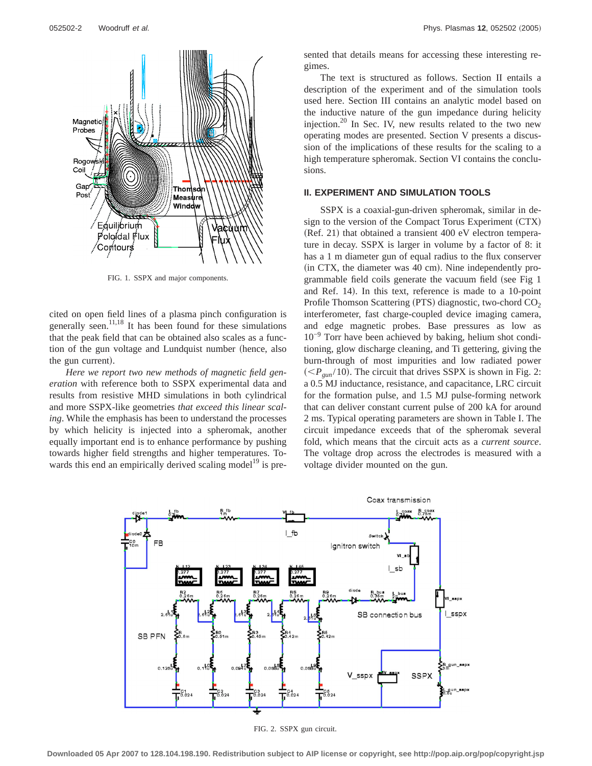

FIG. 1. SSPX and major components.

cited on open field lines of a plasma pinch configuration is generally seen. $11,18$  It has been found for these simulations that the peak field that can be obtained also scales as a function of the gun voltage and Lundquist number (hence, also the gun current).

*Here we report two new methods of magnetic field generation* with reference both to SSPX experimental data and results from resistive MHD simulations in both cylindrical and more SSPX-like geometries *that exceed this linear scaling*. While the emphasis has been to understand the processes by which helicity is injected into a spheromak, another equally important end is to enhance performance by pushing towards higher field strengths and higher temperatures. Towards this end an empirically derived scaling model<sup>19</sup> is presented that details means for accessing these interesting regimes.

The text is structured as follows. Section II entails a description of the experiment and of the simulation tools used here. Section III contains an analytic model based on the inductive nature of the gun impedance during helicity injection.<sup>20</sup> In Sec. IV, new results related to the two new operating modes are presented. Section V presents a discussion of the implications of these results for the scaling to a high temperature spheromak. Section VI contains the conclusions.

#### **II. EXPERIMENT AND SIMULATION TOOLS**

SSPX is a coaxial-gun-driven spheromak, similar in design to the version of the Compact Torus Experiment  $(CTX)$ (Ref. 21) that obtained a transient 400 eV electron temperature in decay. SSPX is larger in volume by a factor of 8: it has a 1 m diameter gun of equal radius to the flux conserver  $(in CTX, the diameter was 40 cm)$ . Nine independently programmable field coils generate the vacuum field (see Fig 1 and Ref. 14). In this text, reference is made to a 10-point Profile Thomson Scattering (PTS) diagnostic, two-chord  $CO<sub>2</sub>$ interferometer, fast charge-coupled device imaging camera, and edge magnetic probes. Base pressures as low as 10−9 Torr have been achieved by baking, helium shot conditioning, glow discharge cleaning, and Ti gettering, giving the burn-through of most impurities and low radiated power  $\left(\langle P_{\text{gun}}/10\right)$ . The circuit that drives SSPX is shown in Fig. 2: a 0.5 MJ inductance, resistance, and capacitance, LRC circuit for the formation pulse, and 1.5 MJ pulse-forming network that can deliver constant current pulse of 200 kA for around 2 ms. Typical operating parameters are shown in Table I. The circuit impedance exceeds that of the spheromak several fold, which means that the circuit acts as a *current source*. The voltage drop across the electrodes is measured with a voltage divider mounted on the gun.



FIG. 2. SSPX gun circuit.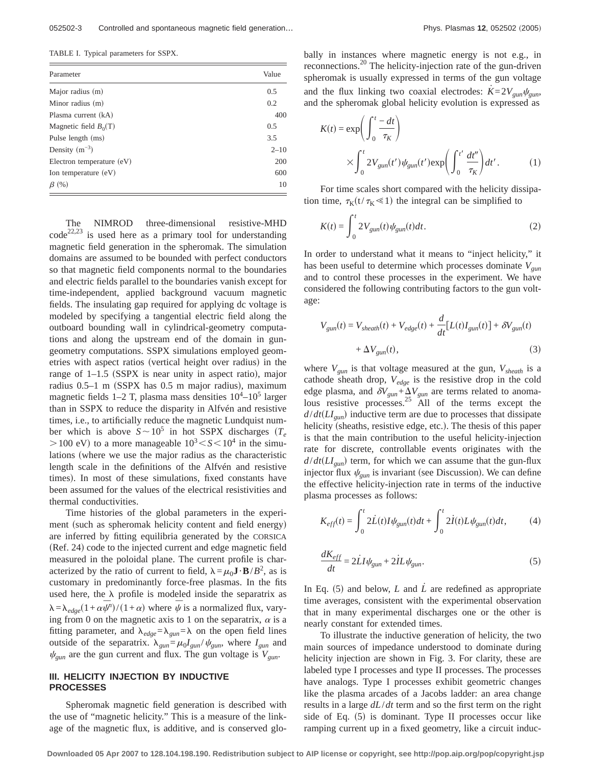TABLE I. Typical parameters for SSPX.

| Parameter                 | Value    |
|---------------------------|----------|
| Major radius (m)          | 0.5      |
| Minor radius (m)          | 0.2      |
| Plasma current (kA)       | 400      |
| Magnetic field $B_0(T)$   | 0.5      |
| Pulse length (ms)         | 3.5      |
| Density $(m^{-3})$        | $2 - 10$ |
| Electron temperature (eV) | 200      |
| Ion temperature (eV)      | 600      |
| $\beta$ (%)               | 10       |

The NIMROD three-dimensional resistive-MHD  $\text{code}^{22,23}$  is used here as a primary tool for understanding magnetic field generation in the spheromak. The simulation domains are assumed to be bounded with perfect conductors so that magnetic field components normal to the boundaries and electric fields parallel to the boundaries vanish except for time-independent, applied background vacuum magnetic fields. The insulating gap required for applying dc voltage is modeled by specifying a tangential electric field along the outboard bounding wall in cylindrical-geometry computations and along the upstream end of the domain in gungeometry computations. SSPX simulations employed geometries with aspect ratios (vertical height over radius) in the range of  $1-1.5$  (SSPX is near unity in aspect ratio), major radius  $0.5-1$  m (SSPX has  $0.5$  m major radius), maximum magnetic fields  $1-2$  T, plasma mass densities  $10^4-10^5$  larger than in SSPX to reduce the disparity in Alfvén and resistive times, i.e., to artificially reduce the magnetic Lundquist number which is above  $S \sim 10^5$  in hot SSPX discharges  $(T_e$  $>100$  eV) to a more manageable  $10^3 < S < 10^4$  in the simulations (where we use the major radius as the characteristic length scale in the definitions of the Alfvén and resistive times). In most of these simulations, fixed constants have been assumed for the values of the electrical resistivities and thermal conductivities.

Time histories of the global parameters in the experiment (such as spheromak helicity content and field energy) are inferred by fitting equilibria generated by the CORSICA (Ref. 24) code to the injected current and edge magnetic field measured in the poloidal plane. The current profile is characterized by the ratio of current to field,  $\lambda = \mu_0 \mathbf{J} \cdot \mathbf{B}/B^2$ , as is customary in predominantly force-free plasmas. In the fits used here, the  $\lambda$  profile is modeled inside the separatrix as  $\lambda = \lambda_{edge}(1 + \alpha \bar{\psi}^n)/(1 + \alpha)$  where  $\bar{\psi}$  is a normalized flux, varying from 0 on the magnetic axis to 1 on the separatrix,  $\alpha$  is a fitting parameter, and  $\lambda_{edge} = \lambda_{gun} = \lambda$  on the open field lines outside of the separatrix.  $\lambda_{gun} = \mu_0 I_{gun} / \psi_{gun}$ , where  $I_{gun}$  and  $\psi_{\text{gun}}$  are the gun current and flux. The gun voltage is  $V_{\text{gun}}$ .

## **III. HELICITY INJECTION BY INDUCTIVE PROCESSES**

Spheromak magnetic field generation is described with the use of "magnetic helicity." This is a measure of the linkage of the magnetic flux, is additive, and is conserved glo-

bally in instances where magnetic energy is not e.g., in reconnections.20 The helicity-injection rate of the gun-driven spheromak is usually expressed in terms of the gun voltage and the flux linking two coaxial electrodes:  $K=2V_{\text{sym}}\psi_{\text{sym}}$ and the spheromak global helicity evolution is expressed as

$$
K(t) = \exp\left(\int_0^t \frac{-dt}{\tau_K}\right)
$$
  
 
$$
\times \int_0^t 2V_{gun}(t') \psi_{gun}(t') \exp\left(\int_0^{t'} \frac{dt''}{\tau_K}\right) dt'.
$$
 (1)

For time scales short compared with the helicity dissipation time,  $\tau_K(t/\tau_K \ll 1)$  the integral can be simplified to

$$
K(t) = \int_0^t 2V_{gun}(t)\psi_{gun}(t)dt.
$$
 (2)

In order to understand what it means to "inject helicity," it has been useful to determine which processes dominate  $V_{gun}$ and to control these processes in the experiment. We have considered the following contributing factors to the gun voltage:

$$
V_{gun}(t) = V_{sheath}(t) + V_{edge}(t) + \frac{d}{dt} [L(t)I_{gun}(t)] + \delta V_{gun}(t)
$$
  
+  $\Delta V_{gun}(t)$ , (3)

where  $V_{\text{gun}}$  is that voltage measured at the gun,  $V_{\text{sheath}}$  is a cathode sheath drop, *Vedge* is the resistive drop in the cold edge plasma, and  $\delta V_{gun} + \Delta V_{gun}$  are terms related to anomalous resistive processes.<sup>25</sup> All of the terms except the  $d/dt(LI_{gun})$  inductive term are due to processes that dissipate helicity (sheaths, resistive edge, etc.). The thesis of this paper is that the main contribution to the useful helicity-injection rate for discrete, controllable events originates with the  $d/dt(LI_{\text{gun}})$  term, for which we can assume that the gun-flux injector flux  $\psi_{\text{gun}}$  is invariant (see Discussion). We can define the effective helicity-injection rate in terms of the inductive plasma processes as follows:

$$
K_{eff}(t) = \int_0^t 2\dot{L}(t)I\psi_{gun}(t)dt + \int_0^t 2\dot{I}(t)L\psi_{gun}(t)dt,
$$
 (4)

$$
\frac{dK_{eff}}{dt} = 2\dot{L}I\psi_{gun} + 2\dot{L}\psi_{gun}.\tag{5}
$$

In Eq. (5) and below, *L* and  $\dot{L}$  are redefined as appropriate time averages, consistent with the experimental observation that in many experimental discharges one or the other is nearly constant for extended times.

To illustrate the inductive generation of helicity, the two main sources of impedance understood to dominate during helicity injection are shown in Fig. 3. For clarity, these are labeled type I processes and type II processes. The processes have analogs. Type I processes exhibit geometric changes like the plasma arcades of a Jacobs ladder: an area change results in a large *dL*/*dt* term and so the first term on the right side of Eq.  $(5)$  is dominant. Type II processes occur like ramping current up in a fixed geometry, like a circuit induc-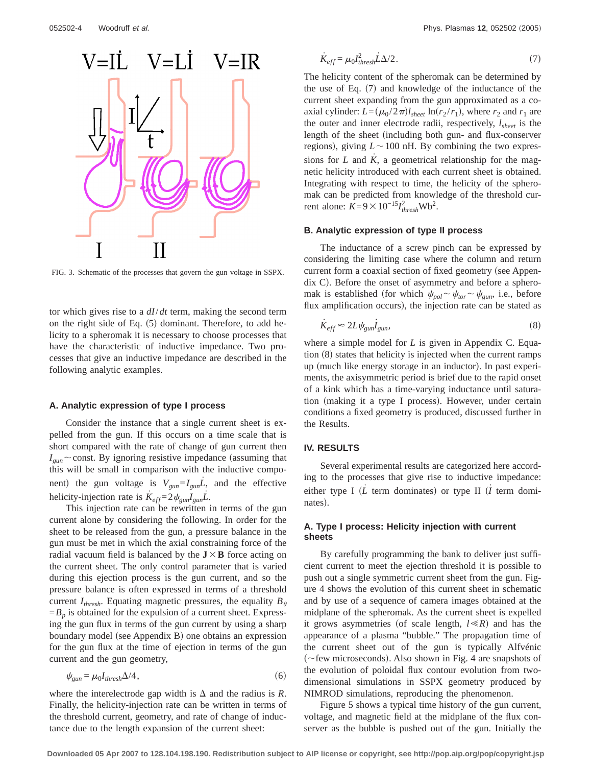

FIG. 3. Schematic of the processes that govern the gun voltage in SSPX.

tor which gives rise to a *dI*/*dt* term, making the second term on the right side of Eq.  $(5)$  dominant. Therefore, to add helicity to a spheromak it is necessary to choose processes that have the characteristic of inductive impedance. Two processes that give an inductive impedance are described in the following analytic examples.

#### **A. Analytic expression of type I process**

Consider the instance that a single current sheet is expelled from the gun. If this occurs on a time scale that is short compared with the rate of change of gun current then  $I_{\text{sum}}$  const. By ignoring resistive impedance (assuming that this will be small in comparison with the inductive component) the gun voltage is  $V_{\text{gun}} = I_{\text{gun}}\dot{L}$ , and the effective helicity-injection rate is  $\dot{K}_{eff} = 2\psi_{gun}I_{gun}L$ .

This injection rate can be rewritten in terms of the gun current alone by considering the following. In order for the sheet to be released from the gun, a pressure balance in the gun must be met in which the axial constraining force of the radial vacuum field is balanced by the  $J \times B$  force acting on the current sheet. The only control parameter that is varied during this ejection process is the gun current, and so the pressure balance is often expressed in terms of a threshold current  $I_{thresh}$ . Equating magnetic pressures, the equality  $B_{\theta}$  $=B_p$  is obtained for the expulsion of a current sheet. Expressing the gun flux in terms of the gun current by using a sharp boundary model (see Appendix B) one obtains an expression for the gun flux at the time of ejection in terms of the gun current and the gun geometry,

$$
\psi_{gun} = \mu_0 I_{thresh} \Delta/4, \qquad (6)
$$

where the interelectrode gap width is  $\Delta$  and the radius is *R*. Finally, the helicity-injection rate can be written in terms of the threshold current, geometry, and rate of change of inductance due to the length expansion of the current sheet:

$$
\dot{K}_{eff} = \mu_0 I_{thresh}^2 \dot{L} \Delta / 2. \tag{7}
$$

The helicity content of the spheromak can be determined by the use of Eq.  $(7)$  and knowledge of the inductance of the current sheet expanding from the gun approximated as a coaxial cylinder:  $L = (\mu_0 / 2\pi) l_{sheet} \ln(r_2 / r_1)$ , where  $r_2$  and  $r_1$  are the outer and inner electrode radii, respectively, *lsheet* is the length of the sheet (including both gun- and flux-conserver regions), giving  $L \sim 100$  nH. By combining the two expressions for  $L$  and  $\hat{K}$ , a geometrical relationship for the magnetic helicity introduced with each current sheet is obtained. Integrating with respect to time, the helicity of the spheromak can be predicted from knowledge of the threshold current alone:  $K=9\times10^{-15}I_{thresh}^2$ Wb<sup>2</sup>.

## **B. Analytic expression of type II process**

The inductance of a screw pinch can be expressed by considering the limiting case where the column and return current form a coaxial section of fixed geometry (see Appen $d$ ix C). Before the onset of asymmetry and before a spheromak is established (for which  $\psi_{pol} \sim \psi_{tor} \sim \psi_{gun}$ , i.e., before flux amplification occurs), the injection rate can be stated as

$$
\dot{K}_{eff} \approx 2L \psi_{gun} \dot{I}_{gun},\tag{8}
$$

where a simple model for *L* is given in Appendix C. Equation  $(8)$  states that helicity is injected when the current ramps up (much like energy storage in an inductor). In past experiments, the axisymmetric period is brief due to the rapid onset of a kink which has a time-varying inductance until saturation (making it a type I process). However, under certain conditions a fixed geometry is produced, discussed further in the Results.

#### **IV. RESULTS**

Several experimental results are categorized here according to the processes that give rise to inductive impedance: either type I ( $\dot{L}$  term dominates) or type II ( $\dot{l}$  term dominates).

## **A. Type I process: Helicity injection with current sheets**

By carefully programming the bank to deliver just sufficient current to meet the ejection threshold it is possible to push out a single symmetric current sheet from the gun. Figure 4 shows the evolution of this current sheet in schematic and by use of a sequence of camera images obtained at the midplane of the spheromak. As the current sheet is expelled it grows asymmetries (of scale length,  $l \ll R$ ) and has the appearance of a plasma "bubble." The propagation time of the current sheet out of the gun is typically Alfvénic ( $\neg$ few microseconds). Also shown in Fig. 4 are snapshots of the evolution of poloidal flux contour evolution from twodimensional simulations in SSPX geometry produced by NIMROD simulations, reproducing the phenomenon.

Figure 5 shows a typical time history of the gun current, voltage, and magnetic field at the midplane of the flux conserver as the bubble is pushed out of the gun. Initially the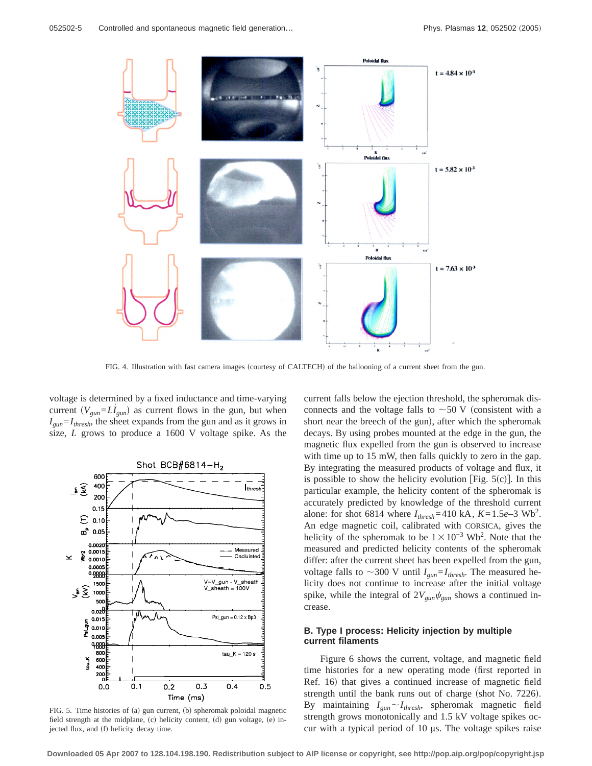

FIG. 4. Illustration with fast camera images (courtesy of CALTECH) of the ballooning of a current sheet from the gun.

voltage is determined by a fixed inductance and time-varying current  $(V_{\text{gun}}=L\dot{I}_{\text{gun}})$  as current flows in the gun, but when  $I_{\text{gun}} = I_{\text{thresh}}$ , the sheet expands from the gun and as it grows in size, *L* grows to produce a 1600 V voltage spike. As the



FIG. 5. Time histories of (a) gun current, (b) spheromak poloidal magnetic field strength at the midplane,  $(c)$  helicity content,  $(d)$  gun voltage,  $(e)$  injected flux, and  $(f)$  helicity decay time.

current falls below the ejection threshold, the spheromak disconnects and the voltage falls to  $\sim$  50 V (consistent with a short near the breech of the gun), after which the spheromak decays. By using probes mounted at the edge in the gun, the magnetic flux expelled from the gun is observed to increase with time up to 15 mW, then falls quickly to zero in the gap. By integrating the measured products of voltage and flux, it is possible to show the helicity evolution [Fig.  $5(c)$ ]. In this particular example, the helicity content of the spheromak is accurately predicted by knowledge of the threshold current alone: for shot 6814 where  $I_{thresh} = 410 \text{ kA}$ ,  $K = 1.5e-3 \text{ Wb}^2$ . An edge magnetic coil, calibrated with CORSICA, gives the helicity of the spheromak to be  $1 \times 10^{-3}$  Wb<sup>2</sup>. Note that the measured and predicted helicity contents of the spheromak differ: after the current sheet has been expelled from the gun, voltage falls to  $\sim$ 300 V until *I<sub>gun</sub>*=*I*<sub>thresh</sub>. The measured helicity does not continue to increase after the initial voltage spike, while the integral of  $2V_{\text{gun}}\psi_{\text{gun}}$  shows a continued increase.

### **B. Type I process: Helicity injection by multiple current filaments**

Figure 6 shows the current, voltage, and magnetic field time histories for a new operating mode (first reported in Ref. 16) that gives a continued increase of magnetic field strength until the bank runs out of charge (shot No. 7226). By maintaining  $I_{gun} \sim I_{thresh}$ , spheromak magnetic field strength grows monotonically and 1.5 kV voltage spikes occur with a typical period of 10 µs. The voltage spikes raise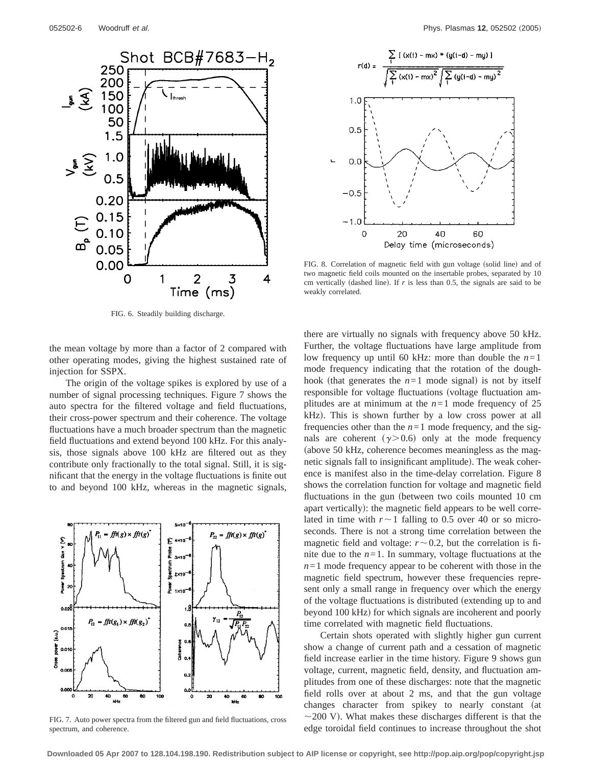

FIG. 6. Steadily building discharge.

the mean voltage by more than a factor of 2 compared with other operating modes, giving the highest sustained rate of injection for SSPX.

The origin of the voltage spikes is explored by use of a number of signal processing techniques. Figure 7 shows the auto spectra for the filtered voltage and field fluctuations, their cross-power spectrum and their coherence. The voltage fluctuations have a much broader spectrum than the magnetic field fluctuations and extend beyond 100 kHz. For this analysis, those signals above 100 kHz are filtered out as they contribute only fractionally to the total signal. Still, it is significant that the energy in the voltage fluctuations is finite out to and beyond 100 kHz, whereas in the magnetic signals,



FIG. 7. Auto power spectra from the filtered gun and field fluctuations, cross spectrum, and coherence.



FIG. 8. Correlation of magnetic field with gun voltage (solid line) and of two magnetic field coils mounted on the insertable probes, separated by 10 cm vertically (dashed line). If  $r$  is less than 0.5, the signals are said to be weakly correlated.

there are virtually no signals with frequency above 50 kHz. Further, the voltage fluctuations have large amplitude from low frequency up until 60 kHz: more than double the  $n=1$ mode frequency indicating that the rotation of the doughhook (that generates the  $n=1$  mode signal) is not by itself responsible for voltage fluctuations (voltage fluctuation amplitudes are at minimum at the  $n=1$  mode frequency of 25  $kHz$ ). This is shown further by a low cross power at all frequencies other than the  $n=1$  mode frequency, and the signals are coherent  $(y>0.6)$  only at the mode frequency (above 50 kHz, coherence becomes meaningless as the magnetic signals fall to insignificant amplitude). The weak coherence is manifest also in the time-delay correlation. Figure 8 shows the correlation function for voltage and magnetic field fluctuations in the gun (between two coils mounted 10 cm apart vertically): the magnetic field appears to be well correlated in time with  $r \sim 1$  falling to 0.5 over 40 or so microseconds. There is not a strong time correlation between the magnetic field and voltage:  $r \sim 0.2$ , but the correlation is finite due to the  $n=1$ . In summary, voltage fluctuations at the  $n=1$  mode frequency appear to be coherent with those in the magnetic field spectrum, however these frequencies represent only a small range in frequency over which the energy of the voltage fluctuations is distributed (extending up to and beyond 100 kHz) for which signals are incoherent and poorly time correlated with magnetic field fluctuations.

Certain shots operated with slightly higher gun current show a change of current path and a cessation of magnetic field increase earlier in the time history. Figure 9 shows gun voltage, current, magnetic field, density, and fluctuation amplitudes from one of these discharges: note that the magnetic field rolls over at about 2 ms, and that the gun voltage changes character from spikey to nearly constant (at  $\sim$ 200 V). What makes these discharges different is that the edge toroidal field continues to increase throughout the shot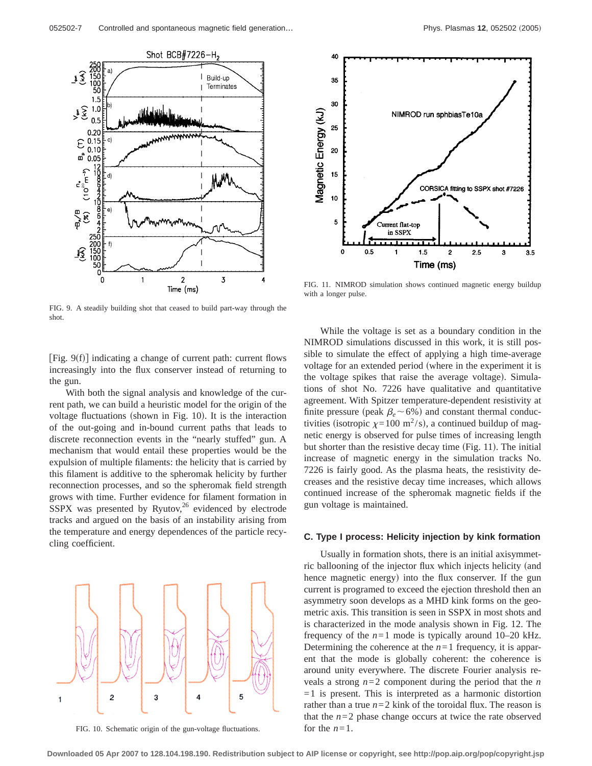

FIG. 9. A steadily building shot that ceased to build part-way through the shot.

[Fig.  $9(f)$ ] indicating a change of current path: current flows increasingly into the flux conserver instead of returning to the gun.

With both the signal analysis and knowledge of the current path, we can build a heuristic model for the origin of the voltage fluctuations (shown in Fig.  $10$ ). It is the interaction of the out-going and in-bound current paths that leads to discrete reconnection events in the "nearly stuffed" gun. A mechanism that would entail these properties would be the expulsion of multiple filaments: the helicity that is carried by this filament is additive to the spheromak helicity by further reconnection processes, and so the spheromak field strength grows with time. Further evidence for filament formation in SSPX was presented by Ryutov, $26$  evidenced by electrode tracks and argued on the basis of an instability arising from the temperature and energy dependences of the particle recycling coefficient.



FIG. 10. Schematic origin of the gun-voltage fluctuations.



FIG. 11. NIMROD simulation shows continued magnetic energy buildup with a longer pulse.

While the voltage is set as a boundary condition in the NIMROD simulations discussed in this work, it is still possible to simulate the effect of applying a high time-average voltage for an extended period (where in the experiment it is the voltage spikes that raise the average voltage). Simulations of shot No. 7226 have qualitative and quantitative agreement. With Spitzer temperature-dependent resistivity at finite pressure (peak  $\beta_e$  ~ 6%) and constant thermal conductivities (isotropic  $\chi = 100 \text{ m}^2/\text{s}$ ), a continued buildup of magnetic energy is observed for pulse times of increasing length but shorter than the resistive decay time  $(Fig. 11)$ . The initial increase of magnetic energy in the simulation tracks No. 7226 is fairly good. As the plasma heats, the resistivity decreases and the resistive decay time increases, which allows continued increase of the spheromak magnetic fields if the gun voltage is maintained.

#### **C. Type I process: Helicity injection by kink formation**

Usually in formation shots, there is an initial axisymmetric ballooning of the injector flux which injects helicity (and hence magnetic energy) into the flux conserver. If the gun current is programed to exceed the ejection threshold then an asymmetry soon develops as a MHD kink forms on the geometric axis. This transition is seen in SSPX in most shots and is characterized in the mode analysis shown in Fig. 12. The frequency of the  $n=1$  mode is typically around 10–20 kHz. Determining the coherence at the  $n=1$  frequency, it is apparent that the mode is globally coherent: the coherence is around unity everywhere. The discrete Fourier analysis reveals a strong  $n=2$  component during the period that the *n*  $=1$  is present. This is interpreted as a harmonic distortion rather than a true  $n=2$  kink of the toroidal flux. The reason is that the  $n=2$  phase change occurs at twice the rate observed for the  $n=1$ .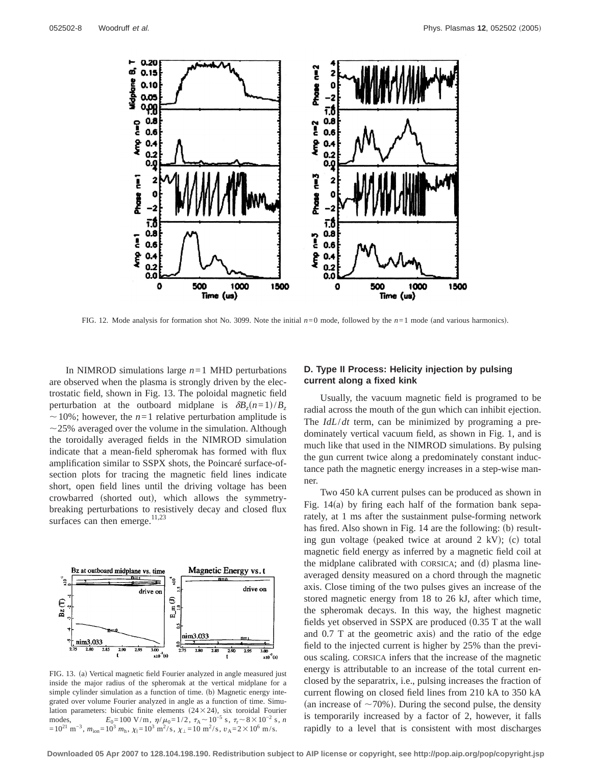

FIG. 12. Mode analysis for formation shot No. 3099. Note the initial  $n=0$  mode, followed by the  $n=1$  mode (and various harmonics).

In NIMROD simulations large  $n=1$  MHD perturbations are observed when the plasma is strongly driven by the electrostatic field, shown in Fig. 13. The poloidal magnetic field perturbation at the outboard midplane is  $\delta B_z(n=1)/B_z$  $\sim$  10%; however, the *n*=1 relative perturbation amplitude is  $\sim$ 25% averaged over the volume in the simulation. Although the toroidally averaged fields in the NIMROD simulation indicate that a mean-field spheromak has formed with flux amplification similar to SSPX shots, the Poincaré surface-ofsection plots for tracing the magnetic field lines indicate short, open field lines until the driving voltage has been crowbarred (shorted out), which allows the symmetrybreaking perturbations to resistively decay and closed flux surfaces can then emerge.<sup>11,23</sup>



FIG. 13. (a) Vertical magnetic field Fourier analyzed in angle measured just inside the major radius of the spheromak at the vertical midplane for a simple cylinder simulation as a function of time. (b) Magnetic energy integrated over volume Fourier analyzed in angle as a function of time. Simulation parameters: bicubic finite elements  $(24\times24)$ , six toroidal Fourier modes, *E*<sub>0</sub>=100 V/m,  $\eta/\mu_0=1/2$ ,  $\tau_A \sim 10^{-5}$  s,  $\tau_r \sim 8 \times 10^{-2}$  s, *n*  $=10^{21} \text{ m}^{-3}$ ,  $m_{\text{ion}}=10^3 \text{ m}_\text{h}$ ,  $\chi_{\parallel}=10^3 \text{ m}^2/\text{s}$ ,  $\chi_{\perp}=10 \text{ m}^2/\text{s}$ ,  $v_A=2\times10^6 \text{ m/s}$ .

#### **D. Type II Process: Helicity injection by pulsing current along a fixed kink**

Usually, the vacuum magnetic field is programed to be radial across the mouth of the gun which can inhibit ejection. The *IdL*/*dt* term, can be minimized by programing a predominately vertical vacuum field, as shown in Fig. 1, and is much like that used in the NIMROD simulations. By pulsing the gun current twice along a predominately constant inductance path the magnetic energy increases in a step-wise manner.

Two 450 kA current pulses can be produced as shown in Fig.  $14(a)$  by firing each half of the formation bank separately, at 1 ms after the sustainment pulse-forming network has fired. Also shown in Fig. 14 are the following: (b) resulting gun voltage (peaked twice at around  $2$  kV); (c) total magnetic field energy as inferred by a magnetic field coil at the midplane calibrated with CORSICA; and (d) plasma lineaveraged density measured on a chord through the magnetic axis. Close timing of the two pulses gives an increase of the stored magnetic energy from 18 to 26 kJ, after which time, the spheromak decays. In this way, the highest magnetic fields yet observed in SSPX are produced  $(0.35 \text{ T at the wall})$ and  $0.7$  T at the geometric axis) and the ratio of the edge field to the injected current is higher by 25% than the previous scaling. CORSICA infers that the increase of the magnetic energy is attributable to an increase of the total current enclosed by the separatrix, i.e., pulsing increases the fraction of current flowing on closed field lines from 210 kA to 350 kA (an increase of  $\sim$ 70%). During the second pulse, the density is temporarily increased by a factor of 2, however, it falls rapidly to a level that is consistent with most discharges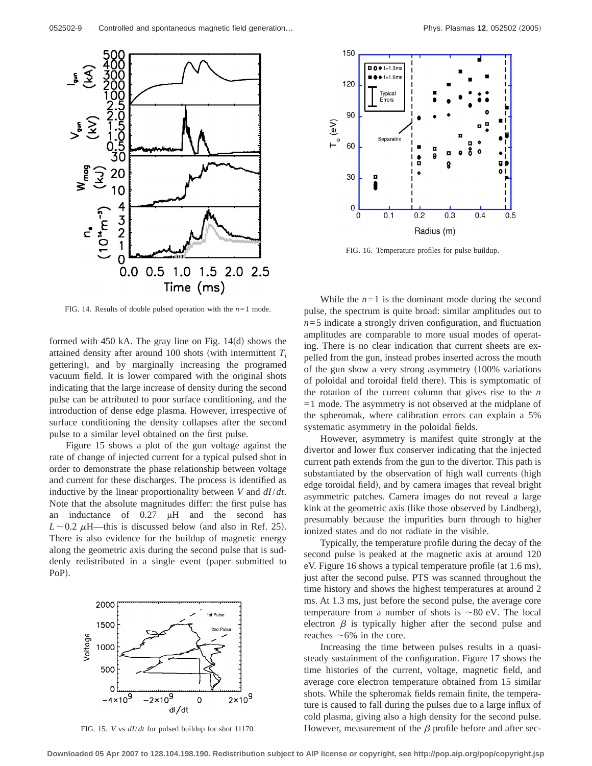

FIG. 14. Results of double pulsed operation with the *n*=1 mode.

formed with 450 kA. The gray line on Fig.  $14(d)$  shows the attained density after around 100 shots (with intermittent  $T_i$ gettering), and by marginally increasing the programed vacuum field. It is lower compared with the original shots indicating that the large increase of density during the second pulse can be attributed to poor surface conditioning, and the introduction of dense edge plasma. However, irrespective of surface conditioning the density collapses after the second pulse to a similar level obtained on the first pulse.

Figure 15 shows a plot of the gun voltage against the rate of change of injected current for a typical pulsed shot in order to demonstrate the phase relationship between voltage and current for these discharges. The process is identified as inductive by the linear proportionality between *V* and *dI*/*dt*. Note that the absolute magnitudes differ: the first pulse has an inductance of 0.27 µH and the second has  $L \sim 0.2 \mu$ H—this is discussed below (and also in Ref. 25). There is also evidence for the buildup of magnetic energy along the geometric axis during the second pulse that is suddenly redistributed in a single event (paper submitted to PoP).



FIG. 15. *V* vs *dI*/*dt* for pulsed buildup for shot 11170.



FIG. 16. Temperature profiles for pulse buildup.

While the  $n=1$  is the dominant mode during the second pulse, the spectrum is quite broad: similar amplitudes out to  $n=5$  indicate a strongly driven configuration, and fluctuation amplitudes are comparable to more usual modes of operating. There is no clear indication that current sheets are expelled from the gun, instead probes inserted across the mouth of the gun show a very strong asymmetry  $(100\%$  variations of poloidal and toroidal field there). This is symptomatic of the rotation of the current column that gives rise to the *n*  $=1$  mode. The asymmetry is not observed at the midplane of the spheromak, where calibration errors can explain a 5% systematic asymmetry in the poloidal fields.

However, asymmetry is manifest quite strongly at the divertor and lower flux conserver indicating that the injected current path extends from the gun to the divertor. This path is substantiated by the observation of high wall currents (high edge toroidal field), and by camera images that reveal bright asymmetric patches. Camera images do not reveal a large kink at the geometric axis (like those observed by Lindberg), presumably because the impurities burn through to higher ionized states and do not radiate in the visible.

Typically, the temperature profile during the decay of the second pulse is peaked at the magnetic axis at around 120 eV. Figure 16 shows a typical temperature profile (at  $1.6 \text{ ms}$ ), just after the second pulse. PTS was scanned throughout the time history and shows the highest temperatures at around 2 ms. At 1.3 ms, just before the second pulse, the average core temperature from a number of shots is  $\sim 80$  eV. The local electron  $\beta$  is typically higher after the second pulse and reaches  $\sim6\%$  in the core.

Increasing the time between pulses results in a quasisteady sustainment of the configuration. Figure 17 shows the time histories of the current, voltage, magnetic field, and average core electron temperature obtained from 15 similar shots. While the spheromak fields remain finite, the temperature is caused to fall during the pulses due to a large influx of cold plasma, giving also a high density for the second pulse. However, measurement of the  $\beta$  profile before and after sec-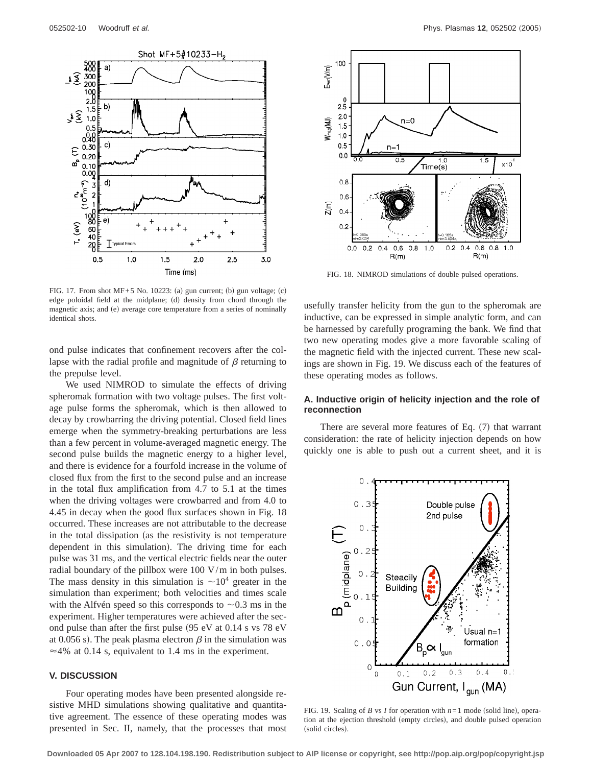

FIG. 17. From shot  $MF+5$  No. 10223: (a) gun current; (b) gun voltage; (c) edge poloidal field at the midplane; (d) density from chord through the magnetic axis; and (e) average core temperature from a series of nominally identical shots.

ond pulse indicates that confinement recovers after the collapse with the radial profile and magnitude of  $\beta$  returning to the prepulse level.

We used NIMROD to simulate the effects of driving spheromak formation with two voltage pulses. The first voltage pulse forms the spheromak, which is then allowed to decay by crowbarring the driving potential. Closed field lines emerge when the symmetry-breaking perturbations are less than a few percent in volume-averaged magnetic energy. The second pulse builds the magnetic energy to a higher level, and there is evidence for a fourfold increase in the volume of closed flux from the first to the second pulse and an increase in the total flux amplification from 4.7 to 5.1 at the times when the driving voltages were crowbarred and from 4.0 to 4.45 in decay when the good flux surfaces shown in Fig. 18 occurred. These increases are not attributable to the decrease in the total dissipation (as the resistivity is not temperature dependent in this simulation). The driving time for each pulse was 31 ms, and the vertical electric fields near the outer radial boundary of the pillbox were 100 V/m in both pulses. The mass density in this simulation is  $\sim 10^4$  greater in the simulation than experiment; both velocities and times scale with the Alfvén speed so this corresponds to  $\sim 0.3$  ms in the experiment. Higher temperatures were achieved after the second pulse than after the first pulse  $(95 \text{ eV at } 0.14 \text{ s vs } 78 \text{ eV})$ at 0.056 s). The peak plasma electron  $\beta$  in the simulation was  $\approx$  4% at 0.14 s, equivalent to 1.4 ms in the experiment.

## **V. DISCUSSION**

Four operating modes have been presented alongside resistive MHD simulations showing qualitative and quantitative agreement. The essence of these operating modes was presented in Sec. II, namely, that the processes that most



FIG. 18. NIMROD simulations of double pulsed operations.

usefully transfer helicity from the gun to the spheromak are inductive, can be expressed in simple analytic form, and can be harnessed by carefully programing the bank. We find that two new operating modes give a more favorable scaling of the magnetic field with the injected current. These new scalings are shown in Fig. 19. We discuss each of the features of these operating modes as follows.

#### **A. Inductive origin of helicity injection and the role of reconnection**

There are several more features of Eq.  $(7)$  that warrant consideration: the rate of helicity injection depends on how quickly one is able to push out a current sheet, and it is



FIG. 19. Scaling of *B* vs *I* for operation with  $n=1$  mode (solid line), operation at the ejection threshold (empty circles), and double pulsed operation (solid circles).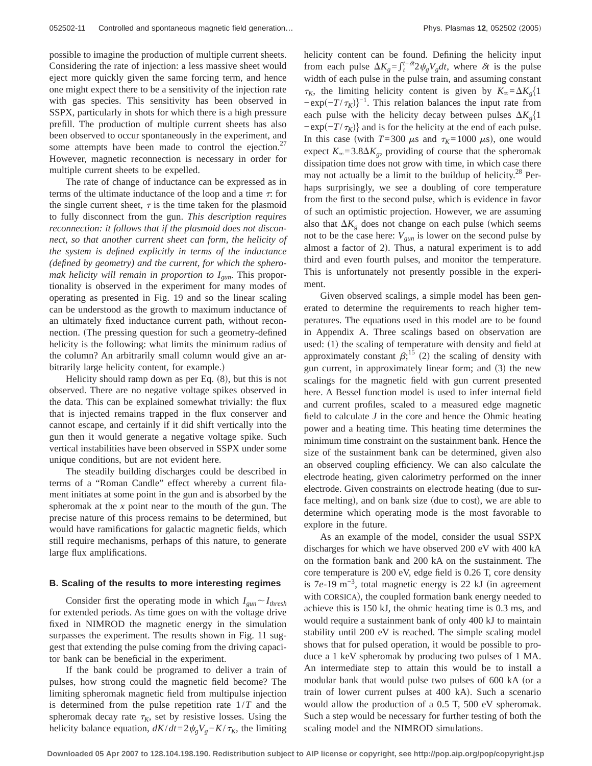possible to imagine the production of multiple current sheets. Considering the rate of injection: a less massive sheet would eject more quickly given the same forcing term, and hence one might expect there to be a sensitivity of the injection rate with gas species. This sensitivity has been observed in SSPX, particularly in shots for which there is a high pressure prefill. The production of multiple current sheets has also been observed to occur spontaneously in the experiment, and some attempts have been made to control the ejection. $27$ However, magnetic reconnection is necessary in order for multiple current sheets to be expelled.

The rate of change of inductance can be expressed as in terms of the ultimate inductance of the loop and a time  $\tau$ : for the single current sheet,  $\tau$  is the time taken for the plasmoid to fully disconnect from the gun. *This description requires reconnection: it follows that if the plasmoid does not disconnect, so that another current sheet can form, the helicity of the system is defined explicitly in terms of the inductance (defined by geometry) and the current, for which the spheromak helicity will remain in proportion to Igun*. This proportionality is observed in the experiment for many modes of operating as presented in Fig. 19 and so the linear scaling can be understood as the growth to maximum inductance of an ultimately fixed inductance current path, without reconnection. (The pressing question for such a geometry-defined helicity is the following: what limits the minimum radius of the column? An arbitrarily small column would give an arbitrarily large helicity content, for example.)

Helicity should ramp down as per Eq.  $(8)$ , but this is not observed. There are no negative voltage spikes observed in the data. This can be explained somewhat trivially: the flux that is injected remains trapped in the flux conserver and cannot escape, and certainly if it did shift vertically into the gun then it would generate a negative voltage spike. Such vertical instabilities have been observed in SSPX under some unique conditions, but are not evident here.

The steadily building discharges could be described in terms of a "Roman Candle" effect whereby a current filament initiates at some point in the gun and is absorbed by the spheromak at the *x* point near to the mouth of the gun. The precise nature of this process remains to be determined, but would have ramifications for galactic magnetic fields, which still require mechanisms, perhaps of this nature, to generate large flux amplifications.

#### **B. Scaling of the results to more interesting regimes**

Consider first the operating mode in which  $I_{\text{gun}} \sim I_{\text{thresh}}$ for extended periods. As time goes on with the voltage drive fixed in NIMROD the magnetic energy in the simulation surpasses the experiment. The results shown in Fig. 11 suggest that extending the pulse coming from the driving capacitor bank can be beneficial in the experiment.

If the bank could be programed to deliver a train of pulses, how strong could the magnetic field become? The limiting spheromak magnetic field from multipulse injection is determined from the pulse repetition rate 1/*T* and the spheromak decay rate  $\tau_K$ , set by resistive losses. Using the helicity balance equation,  $dK/dt = 2\psi_g V_g - K/\tau_K$ , the limiting

helicity content can be found. Defining the helicity input from each pulse  $\Delta K_g = \int_t^{t+\delta t} 2\psi_g V_g dt$ , where  $\delta t$  is the pulse width of each pulse in the pulse train, and assuming constant  $\tau_K$ , the limiting helicity content is given by  $K_\infty = \Delta K_g \{1\}$  $-\exp(-T/\tau_K)$ <sup>-1</sup>. This relation balances the input rate from each pulse with the helicity decay between pulses  $\Delta K<sub>g</sub>$ <sup>{1}</sup>  $-exp(-T/\tau_K)$ } and is for the helicity at the end of each pulse. In this case (with  $T=300 \mu s$  and  $\tau_K=1000 \mu s$ ), one would expect  $K_{\infty}$ =3.8 $\Delta K_g$ , providing of course that the spheromak dissipation time does not grow with time, in which case there may not actually be a limit to the buildup of helicity.<sup>28</sup> Perhaps surprisingly, we see a doubling of core temperature from the first to the second pulse, which is evidence in favor of such an optimistic projection. However, we are assuming also that  $\Delta K_g$  does not change on each pulse (which seems not to be the case here:  $V_{\text{gun}}$  is lower on the second pulse by almost a factor of  $2$ ). Thus, a natural experiment is to add third and even fourth pulses, and monitor the temperature. This is unfortunately not presently possible in the experiment.

Given observed scalings, a simple model has been generated to determine the requirements to reach higher temperatures. The equations used in this model are to be found in Appendix A. Three scalings based on observation are used:  $(1)$  the scaling of temperature with density and field at approximately constant  $\beta$ ;<sup>15</sup> (2) the scaling of density with gun current, in approximately linear form; and  $(3)$  the new scalings for the magnetic field with gun current presented here. A Bessel function model is used to infer internal field and current profiles, scaled to a measured edge magnetic field to calculate *J* in the core and hence the Ohmic heating power and a heating time. This heating time determines the minimum time constraint on the sustainment bank. Hence the size of the sustainment bank can be determined, given also an observed coupling efficiency. We can also calculate the electrode heating, given calorimetry performed on the inner electrode. Given constraints on electrode heating (due to surface melting), and on bank size (due to cost), we are able to determine which operating mode is the most favorable to explore in the future.

As an example of the model, consider the usual SSPX discharges for which we have observed 200 eV with 400 kA on the formation bank and 200 kA on the sustainment. The core temperature is 200 eV, edge field is 0.26 T, core density is  $7e$ -19 m<sup>-3</sup>, total magnetic energy is 22 kJ (in agreement with CORSICA), the coupled formation bank energy needed to achieve this is 150 kJ, the ohmic heating time is 0.3 ms, and would require a sustainment bank of only 400 kJ to maintain stability until 200 eV is reached. The simple scaling model shows that for pulsed operation, it would be possible to produce a 1 keV spheromak by producing two pulses of 1 MA. An intermediate step to attain this would be to install a modular bank that would pulse two pulses of 600 kA (or a train of lower current pulses at 400 kA). Such a scenario would allow the production of a 0.5 T, 500 eV spheromak. Such a step would be necessary for further testing of both the scaling model and the NIMROD simulations.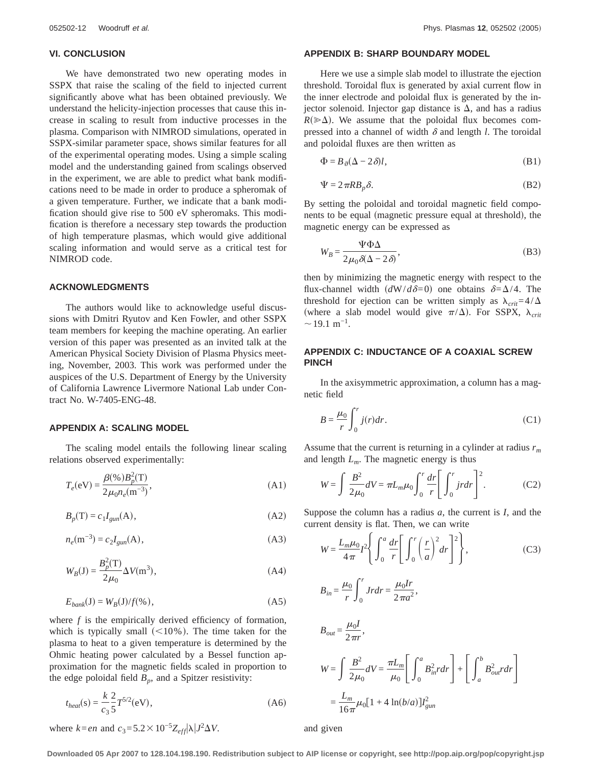#### **VI. CONCLUSION**

We have demonstrated two new operating modes in SSPX that raise the scaling of the field to injected current significantly above what has been obtained previously. We understand the helicity-injection processes that cause this increase in scaling to result from inductive processes in the plasma. Comparison with NIMROD simulations, operated in SSPX-similar parameter space, shows similar features for all of the experimental operating modes. Using a simple scaling model and the understanding gained from scalings observed in the experiment, we are able to predict what bank modifications need to be made in order to produce a spheromak of a given temperature. Further, we indicate that a bank modification should give rise to 500 eV spheromaks. This modification is therefore a necessary step towards the production of high temperature plasmas, which would give additional scaling information and would serve as a critical test for NIMROD code.

### **ACKNOWLEDGMENTS**

The authors would like to acknowledge useful discussions with Dmitri Ryutov and Ken Fowler, and other SSPX team members for keeping the machine operating. An earlier version of this paper was presented as an invited talk at the American Physical Society Division of Plasma Physics meeting, November, 2003. This work was performed under the auspices of the U.S. Department of Energy by the University of California Lawrence Livermore National Lab under Contract No. W-7405-ENG-48.

#### **APPENDIX A: SCALING MODEL**

The scaling model entails the following linear scaling relations observed experimentally:

$$
T_e(eV) = \frac{\beta(\%)B_p^2(T)}{2\mu_0 n_e(m^{-3})},
$$
\n(A1)

$$
B_p(\mathbf{T}) = c_1 I_{\text{gun}}(\mathbf{A}),\tag{A2}
$$

$$
n_e(\text{m}^{-3}) = c_2 I_{gun}(\text{A}),\tag{A3}
$$

$$
W_B(\mathbf{J}) = \frac{B_p^2(\mathbf{T})}{2\mu_0} \Delta V(\mathbf{m}^3),
$$
 (A4)

$$
E_{bank}(J) = W_B(J)/f(\%),\tag{A5}
$$

where *f* is the empirically derived efficiency of formation, which is typically small  $(<10\%$ ). The time taken for the plasma to heat to a given temperature is determined by the Ohmic heating power calculated by a Bessel function approximation for the magnetic fields scaled in proportion to the edge poloidal field  $B_p$ , and a Spitzer resistivity:

$$
t_{heat}(s) = \frac{k}{c_3} \frac{2}{5} T^{5/2}(eV),
$$
 (A6)

where  $k = en$  and  $c_3 = 5.2 \times 10^{-5} Z_{eff} |\lambda| J^2 \Delta V$ .

#### **APPENDIX B: SHARP BOUNDARY MODEL**

Here we use a simple slab model to illustrate the ejection threshold. Toroidal flux is generated by axial current flow in the inner electrode and poloidal flux is generated by the injector solenoid. Injector gap distance is  $\Delta$ , and has a radius  $R(\gg\Delta)$ . We assume that the poloidal flux becomes compressed into a channel of width  $\delta$  and length *l*. The toroidal and poloidal fluxes are then written as

$$
\Phi = B_{\vartheta}(\Delta - 2\delta)l,\tag{B1}
$$

$$
\Psi = 2\pi R B_p \delta. \tag{B2}
$$

By setting the poloidal and toroidal magnetic field components to be equal (magnetic pressure equal at threshold), the magnetic energy can be expressed as

$$
W_B = \frac{\Psi \Phi \Delta}{2\mu_0 \delta(\Delta - 2\delta)},
$$
\n(B3)

then by minimizing the magnetic energy with respect to the flux-channel width  $(dW/d\delta=0)$  one obtains  $\delta=\Delta/4$ . The threshold for ejection can be written simply as  $\lambda_{crit} = 4/\Delta$ (where a slab model would give  $\pi/\Delta$ ). For SSPX,  $\lambda_{crit}$  $\sim$ 19.1 m<sup>-1</sup>.

## **APPENDIX C: INDUCTANCE OF A COAXIAL SCREW PINCH**

In the axisymmetric approximation, a column has a magnetic field

$$
B = \frac{\mu_0}{r} \int_0^r j(r) dr.
$$
 (C1)

Assume that the current is returning in a cylinder at radius *rm* and length  $L_m$ . The magnetic energy is thus

$$
W = \int \frac{B^2}{2\mu_0} dV = \pi L_m \mu_0 \int_0^r \frac{dr}{r} \left[ \int_0^r j r dr \right]^2.
$$
 (C2)

Suppose the column has a radius *a*, the current is *I*, and the current density is flat. Then, we can write

$$
W = \frac{L_m \mu_0}{4\pi} I^2 \left\{ \int_0^a \frac{dr}{r} \left[ \int_0^r \left( \frac{r}{a} \right)^2 dr \right]^2 \right\},
$$
 (C3)

$$
B_{in} = \frac{\mu_0}{r} \int_0^r Jr dr = \frac{\mu_0 Ir}{2\pi a^2},
$$

$$
B_{out} = \frac{\mu_0 I}{2\pi r},
$$
  
\n
$$
W = \int \frac{B^2}{2\mu_0} dV = \frac{\pi L_m}{\mu_0} \left[ \int_0^a B_{in}^2 r dr \right] + \left[ \int_a^b B_{out}^2 r dr \right]
$$
  
\n
$$
= \frac{L_m}{16\pi} \mu_0 \left[ 1 + 4 \ln(b/a) \right] I_{gun}^2
$$

and given